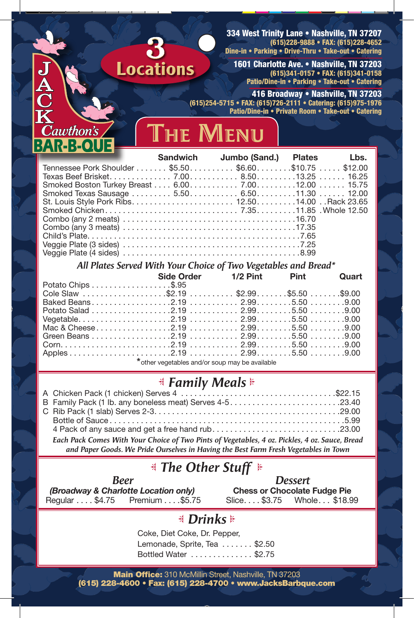334 West Trinity Lane • Nashville, TN 37207 (615)228-9888 • FAX: (615)228-4652 Dine-in • Parking • Drive-Thru • Take-out • Catering

1601 Charlotte Ave. • Nashville, TN 37203 (615)341-0157 • FAX: (615)341-0158 Patio/Dine-in • Parking • Take-out • Catering

416 Broadway • Nashville, TN 37203 (615)254-5715 • FAX: (615)726-2111 • Catering: (615)975-1976 Patio/Dine-in • Private Room • Take-out • Catering



| Cawthon's<br><b>AR-B-QUE</b>                                    |  | THE MENU |                               |      |
|-----------------------------------------------------------------|--|----------|-------------------------------|------|
|                                                                 |  |          | Sandwich Jumbo (Sand.) Plates | Lbs. |
| Tennessee Pork Shoulder \$5.50. \$6.60. \$10.75 $\dots$ \$12.00 |  |          |                               |      |
|                                                                 |  |          |                               |      |
|                                                                 |  |          |                               |      |
|                                                                 |  |          |                               |      |
|                                                                 |  |          |                               |      |
|                                                                 |  |          |                               |      |
|                                                                 |  |          |                               |      |
|                                                                 |  |          |                               |      |
|                                                                 |  |          |                               |      |
|                                                                 |  |          |                               |      |
|                                                                 |  |          |                               |      |

Locations

## *All Plates Served With Your Choice of Two Vegetables and Bread\**

|                                       | Side Order 1/2 Pint Pint Quart                  |  |  |  |
|---------------------------------------|-------------------------------------------------|--|--|--|
| Potato Chips \$.95                    |                                                 |  |  |  |
| Cole Slaw \$2.19 \$2.99 \$5.50 \$9.00 |                                                 |  |  |  |
|                                       |                                                 |  |  |  |
|                                       |                                                 |  |  |  |
|                                       |                                                 |  |  |  |
|                                       |                                                 |  |  |  |
|                                       |                                                 |  |  |  |
|                                       |                                                 |  |  |  |
|                                       |                                                 |  |  |  |
|                                       | * other vegetables and/or soup may be available |  |  |  |

## *Family Meals*

| B Family Pack (1 lb. any boneless meat) Serves 4-523.40                                        |  |
|------------------------------------------------------------------------------------------------|--|
|                                                                                                |  |
|                                                                                                |  |
| 4 Pack of any sauce and get a free hand rub23.00                                               |  |
| Each Pack Comes With Your Choice of Two Pints of Vegetables, 4 oz. Pickles, 4 oz. Sauce, Bread |  |
| and Paper Goods. We Pride Ourselves in Having the Best Farm Fresh Vegetables in Town           |  |

## *The Other Stuff*

| <b>Beer</b>                          |                |  |  |  |  |
|--------------------------------------|----------------|--|--|--|--|
| (Broadway & Charlotte Location only) |                |  |  |  |  |
| Regular \$4.75                       | Premium \$5.75 |  |  |  |  |

*Dessert* **Chess or Chocolate Fudge Pie** Slice ... \$3.75 Whole ... \$18.99

## *Drinks*

Coke, Diet Coke, Dr. Pepper, Lemonade, Sprite, Tea  $\ldots \ldots$ \$2.50 Bottled Water ............. \$2.75

Main Office: 310 McMillin Street, Nashville, TN 37203 (615) 228-4600 • Fax: (615) 228-4700 • www.JacksBarbque.com